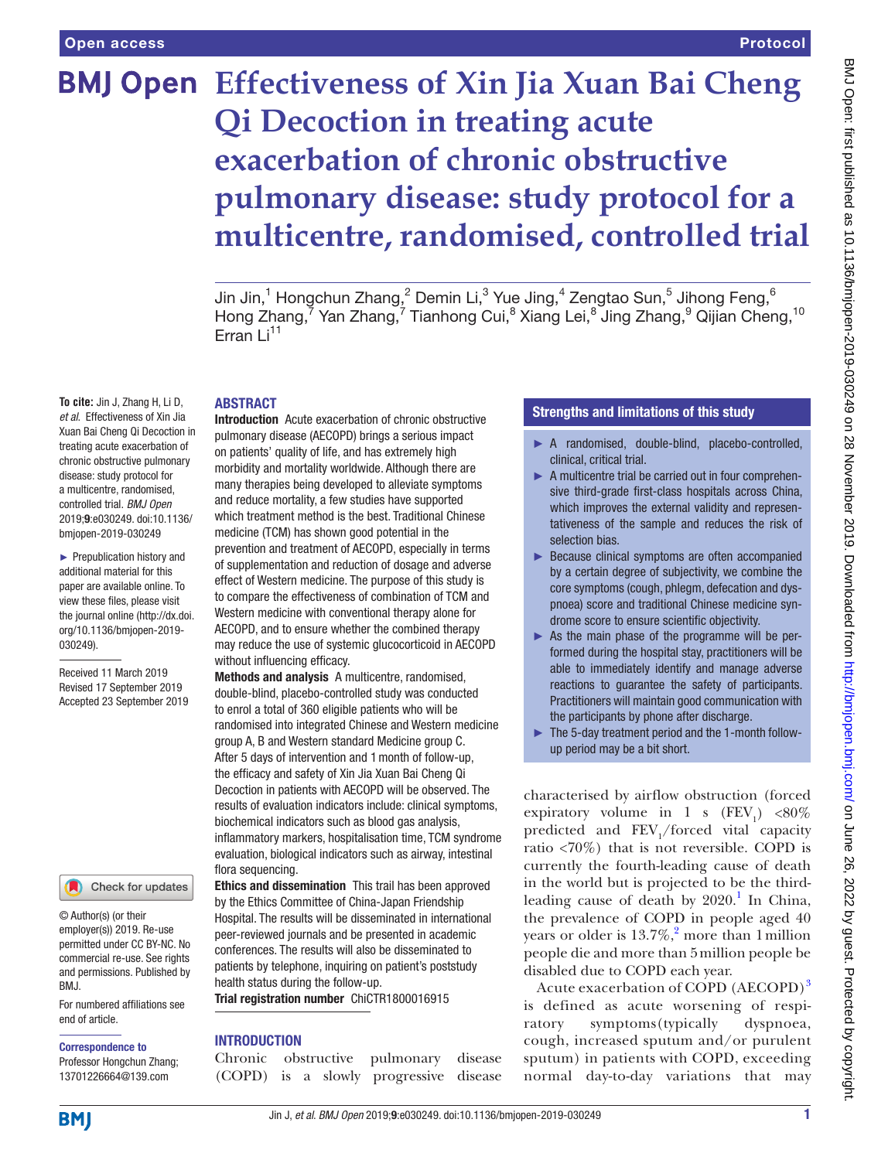### Protocol

# **BMJ Open Effectiveness of Xin Jia Xuan Bai Cheng Qi Decoction in treating acute exacerbation of chronic obstructive pulmonary disease: study protocol for a multicentre, randomised, controlled trial**

Jin Jin, $^1$  Hongchun Zhang, $^2$  Demin Li, $^3$  Yue Jing, $^4$  Zengtao Sun, $^5$  Jihong Feng, $^6$ Hong Zhang,<sup>7</sup> Yan Zhang,<sup>7</sup> Tianhong Cui,<sup>8</sup> Xiang Lei,<sup>8</sup> Jing Zhang,<sup>9</sup> Qijian Cheng,<sup>10</sup> Erran  $Li<sup>11</sup>$ 

#### **ABSTRACT**

**To cite:** Jin J, Zhang H, Li D, *et al*. Effectiveness of Xin Jia Xuan Bai Cheng Qi Decoction in treating acute exacerbation of chronic obstructive pulmonary disease: study protocol for a multicentre, randomised, controlled trial. *BMJ Open* 2019;9:e030249. doi:10.1136/ bmjopen-2019-030249

► Prepublication history and additional material for this paper are available online. To view these files, please visit the journal online (http://dx.doi. org/10.1136/bmjopen-2019- 030249).

Received 11 March 2019 Revised 17 September 2019 Accepted 23 September 2019



© Author(s) (or their employer(s)) 2019. Re-use permitted under CC BY-NC. No commercial re-use. See rights and permissions. Published by BMJ.

For numbered affiliations see end of article.

#### Correspondence to

Professor Hongchun Zhang; 13701226664@139.com

Introduction Acute exacerbation of chronic obstructive pulmonary disease (AECOPD) brings a serious impact on patients' quality of life, and has extremely high morbidity and mortality worldwide. Although there are many therapies being developed to alleviate symptoms and reduce mortality, a few studies have supported which treatment method is the best. Traditional Chinese medicine (TCM) has shown good potential in the prevention and treatment of AECOPD, especially in terms of supplementation and reduction of dosage and adverse effect of Western medicine. The purpose of this study is to compare the effectiveness of combination of TCM and Western medicine with conventional therapy alone for AECOPD, and to ensure whether the combined therapy may reduce the use of systemic glucocorticoid in AECOPD without influencing efficacy.

Methods and analysis A multicentre, randomised, double-blind, placebo-controlled study was conducted to enrol a total of 360 eligible patients who will be randomised into integrated Chinese and Western medicine group A, B and Western standard Medicine group C. After 5 days of intervention and 1month of follow-up, the efficacy and safety of Xin Jia Xuan Bai Cheng Qi Decoction in patients with AECOPD will be observed. The results of evaluation indicators include: clinical symptoms, biochemical indicators such as blood gas analysis, inflammatory markers, hospitalisation time, TCM syndrome evaluation, biological indicators such as airway, intestinal flora sequencing.

Ethics and dissemination This trail has been approved by the Ethics Committee of China-Japan Friendship Hospital. The results will be disseminated in international peer-reviewed journals and be presented in academic conferences. The results will also be disseminated to patients by telephone, inquiring on patient's poststudy health status during the follow-up.

Trial registration number ChiCTR1800016915

#### **INTRODUCTION**

Chronic obstructive pulmonary disease (COPD) is a slowly progressive disease

#### Strengths and limitations of this study

- ► A randomised, double-blind, placebo-controlled, clinical, critical trial.
- ► A multicentre trial be carried out in four comprehensive third-grade first-class hospitals across China, which improves the external validity and representativeness of the sample and reduces the risk of selection bias.
- ► Because clinical symptoms are often accompanied by a certain degree of subjectivity, we combine the core symptoms (cough, phlegm, defecation and dyspnoea) score and traditional Chinese medicine syndrome score to ensure scientific objectivity.
- $\triangleright$  As the main phase of the programme will be performed during the hospital stay, practitioners will be able to immediately identify and manage adverse reactions to guarantee the safety of participants. Practitioners will maintain good communication with the participants by phone after discharge.
- ► The 5-day treatment period and the 1-month followup period may be a bit short.

characterised by airflow obstruction (forced expiratory volume in 1 s  $(FEV_1)$  <80% predicted and  $\text{FEV}_1\text{/forced}$  vital capacity ratio <70%) that is not reversible. COPD is currently the fourth-leading cause of death in the world but is projected to be the thirdleading cause of death by  $2020$ .<sup>[1](#page-7-0)</sup> In China, the prevalence of COPD in people aged 40 years or older is  $13.7\%$ ,<sup>2</sup> more than 1 million people die and more than 5million people be disabled due to COPD each year.

Acute exacerbation of COPD (AECOPD)<sup>[3](#page-7-2)</sup> is defined as acute worsening of respiratory symptoms(typically dyspnoea, cough, increased sputum and/or purulent sputum) in patients with COPD, exceeding normal day-to-day variations that may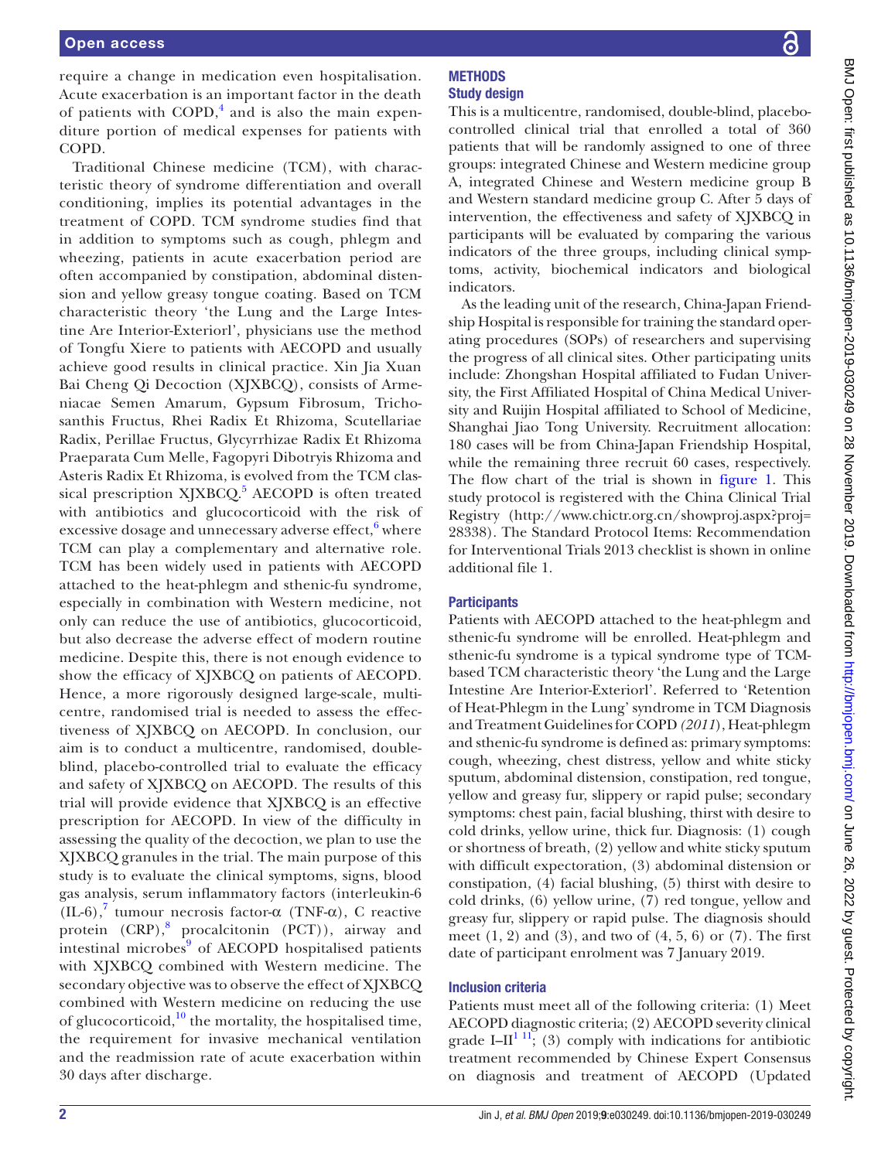require a change in medication even hospitalisation. Acute exacerbation is an important factor in the death of patients with  $\text{COPD}$ ,<sup>[4](#page-7-3)</sup> and is also the main expenditure portion of medical expenses for patients with COPD.

Traditional Chinese medicine (TCM), with characteristic theory of syndrome differentiation and overall conditioning, implies its potential advantages in the treatment of COPD. TCM syndrome studies find that in addition to symptoms such as cough, phlegm and wheezing, patients in acute exacerbation period are often accompanied by constipation, abdominal distension and yellow greasy tongue coating. Based on TCM characteristic theory 'the Lung and the Large Intestine Are Interior-Exteriorl', physicians use the method of Tongfu Xiere to patients with AECOPD and usually achieve good results in clinical practice. Xin Jia Xuan Bai Cheng Qi Decoction (XJXBCQ), consists of Armeniacae Semen Amarum, Gypsum Fibrosum, Trichosanthis Fructus, Rhei Radix Et Rhizoma, Scutellariae Radix, Perillae Fructus, Glycyrrhizae Radix Et Rhizoma Praeparata Cum Melle, Fagopyri Dibotryis Rhizoma and Asteris Radix Et Rhizoma, is evolved from the TCM clas-sical prescription XJXBCQ.<sup>[5](#page-7-4)</sup> AECOPD is often treated with antibiotics and glucocorticoid with the risk of excessive dosage and unnecessary adverse effect, $^6$  $^6$  where TCM can play a complementary and alternative role. TCM has been widely used in patients with AECOPD attached to the heat-phlegm and sthenic-fu syndrome, especially in combination with Western medicine, not only can reduce the use of antibiotics, glucocorticoid, but also decrease the adverse effect of modern routine medicine. Despite this, there is not enough evidence to show the efficacy of XJXBCQ on patients of AECOPD. Hence, a more rigorously designed large-scale, multicentre, randomised trial is needed to assess the effectiveness of XJXBCQ on AECOPD. In conclusion, our aim is to conduct a multicentre, randomised, doubleblind, placebo-controlled trial to evaluate the efficacy and safety of XJXBCQ on AECOPD. The results of this trial will provide evidence that XJXBCQ is an effective prescription for AECOPD. In view of the difficulty in assessing the quality of the decoction, we plan to use the XJXBCQ granules in the trial. The main purpose of this study is to evaluate the clinical symptoms, signs, blood gas analysis, serum inflammatory factors (interleukin-6 (IL-6),<sup>[7](#page-7-6)</sup> tumour necrosis factor-α (TNF-α), C reactive protein (CRP),<sup>[8](#page-7-7)</sup> procalcitonin (PCT)), airway and intestinal microbes<sup>[9](#page-7-8)</sup> of AECOPD hospitalised patients with XJXBCQ combined with Western medicine. The secondary objective was to observe the effect of XJXBCQ combined with Western medicine on reducing the use of glucocorticoid, $10$  the mortality, the hospitalised time, the requirement for invasive mechanical ventilation and the readmission rate of acute exacerbation within 30 days after discharge.

#### **METHODS** Study design

This is a multicentre, randomised, double-blind, placebocontrolled clinical trial that enrolled a total of 360 patients that will be randomly assigned to one of three groups: integrated Chinese and Western medicine group A, integrated Chinese and Western medicine group B and Western standard medicine group C. After 5 days of intervention, the effectiveness and safety of XJXBCQ in participants will be evaluated by comparing the various indicators of the three groups, including clinical symptoms, activity, biochemical indicators and biological indicators.

As the leading unit of the research, China-Japan Friendship Hospital is responsible for training the standard operating procedures (SOPs) of researchers and supervising the progress of all clinical sites. Other participating units include: Zhongshan Hospital affiliated to Fudan University, the First Affiliated Hospital of China Medical University and Ruijin Hospital affiliated to School of Medicine, Shanghai Jiao Tong University. Recruitment allocation: 180 cases will be from China-Japan Friendship Hospital, while the remaining three recruit 60 cases, respectively. The flow chart of the trial is shown in [figure](#page-2-0) 1. This study protocol is registered with the China Clinical Trial Registry ([http://www.chictr.org.cn/showproj.aspx?proj=](http://www.chictr.org.cn/showproj.aspx?proj=28338) [28338\)](http://www.chictr.org.cn/showproj.aspx?proj=28338). The Standard Protocol Items: Recommendation for Interventional Trials 2013 checklist is shown in [online](https://dx.doi.org/10.1136/bmjopen-2019-030249)  [additional file 1](https://dx.doi.org/10.1136/bmjopen-2019-030249).

### **Participants**

Patients with AECOPD attached to the heat-phlegm and sthenic-fu syndrome will be enrolled. Heat-phlegm and sthenic-fu syndrome is a typical syndrome type of TCMbased TCM characteristic theory 'the Lung and the Large Intestine Are Interior-Exteriorl'. Referred to 'Retention of Heat-Phlegm in the Lung' syndrome in TCM Diagnosis and Treatment Guidelines for COPD *(2011*), Heat-phlegm and sthenic-fu syndrome is defined as: primary symptoms: cough, wheezing, chest distress, yellow and white sticky sputum, abdominal distension, constipation, red tongue, yellow and greasy fur, slippery or rapid pulse; secondary symptoms: chest pain, facial blushing, thirst with desire to cold drinks, yellow urine, thick fur. Diagnosis: (1) cough or shortness of breath, (2) yellow and white sticky sputum with difficult expectoration, (3) abdominal distension or constipation, (4) facial blushing, (5) thirst with desire to cold drinks, (6) yellow urine, (7) red tongue, yellow and greasy fur, slippery or rapid pulse. The diagnosis should meet  $(1, 2)$  and  $(3)$ , and two of  $(4, 5, 6)$  or  $(7)$ . The first date of participant enrolment was 7 January 2019.

### Inclusion criteria

Patients must meet all of the following criteria: (1) Meet AECOPD diagnostic criteria; (2) AECOPD severity clinical grade I–II<sup>111</sup>; (3) comply with indications for antibiotic treatment recommended by Chinese Expert Consensus on diagnosis and treatment of AECOPD (Updated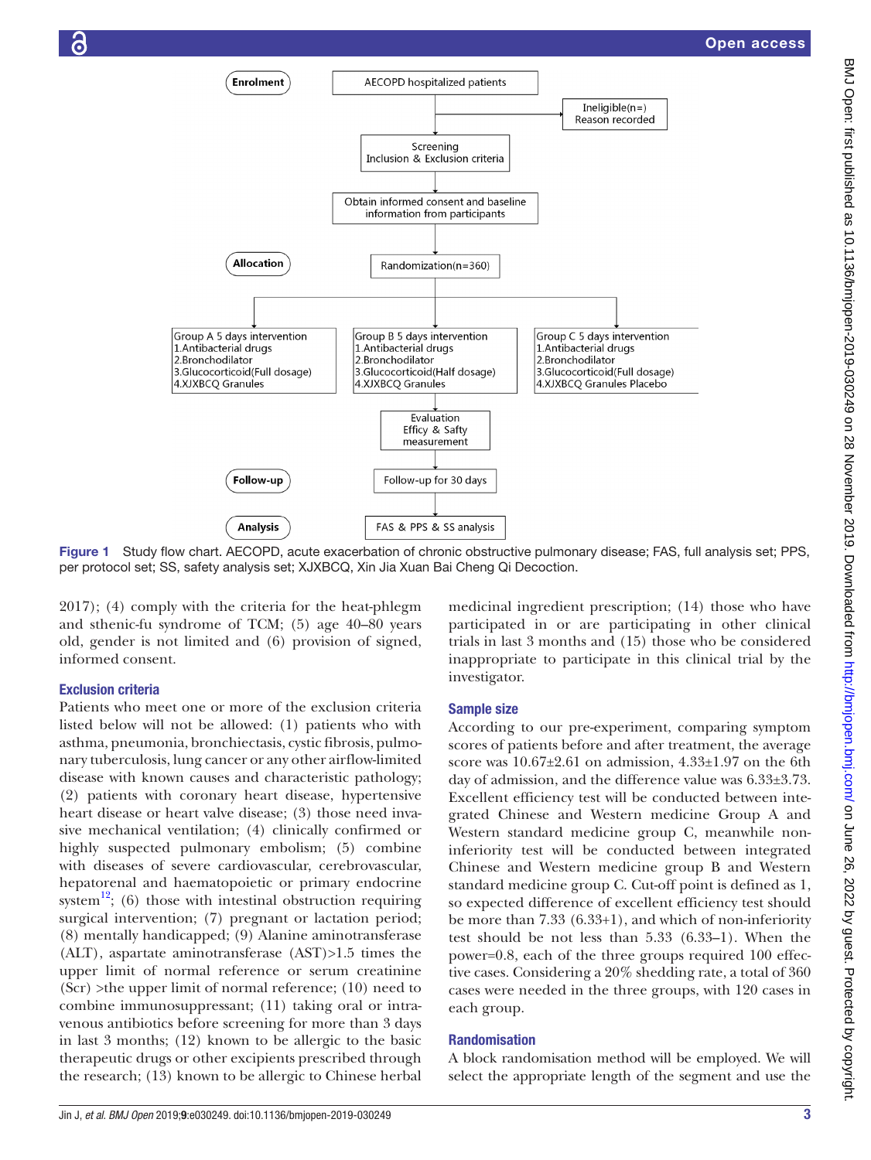

Figure 1 Study flow chart. AECOPD, acute exacerbation of chronic obstructive pulmonary disease; FAS, full analysis set; PPS, per protocol set; SS, safety analysis set; XJXBCQ, Xin Jia Xuan Bai Cheng Qi Decoction.

2017); (4) comply with the criteria for the heat-phlegm and sthenic-fu syndrome of TCM; (5) age 40–80 years old, gender is not limited and (6) provision of signed, informed consent.

#### Exclusion criteria

Patients who meet one or more of the exclusion criteria listed below will not be allowed: (1) patients who with asthma, pneumonia, bronchiectasis, cystic fibrosis, pulmonary tuberculosis, lung cancer or any other airflow-limited disease with known causes and characteristic pathology; (2) patients with coronary heart disease, hypertensive heart disease or heart valve disease; (3) those need invasive mechanical ventilation; (4) clinically confirmed or highly suspected pulmonary embolism; (5) combine with diseases of severe cardiovascular, cerebrovascular, hepatorenal and haematopoietic or primary endocrine system<sup>12</sup>; (6) those with intestinal obstruction requiring surgical intervention; (7) pregnant or lactation period; (8) mentally handicapped; (9) Alanine aminotransferase (ALT), aspartate aminotransferase (AST)>1.5 times the upper limit of normal reference or serum creatinine (Scr) >the upper limit of normal reference; (10) need to combine immunosuppressant; (11) taking oral or intravenous antibiotics before screening for more than 3 days in last 3 months; (12) known to be allergic to the basic therapeutic drugs or other excipients prescribed through the research; (13) known to be allergic to Chinese herbal

<span id="page-2-0"></span>medicinal ingredient prescription; (14) those who have participated in or are participating in other clinical trials in last 3 months and (15) those who be considered inappropriate to participate in this clinical trial by the investigator.

#### Sample size

According to our pre-experiment, comparing symptom scores of patients before and after treatment, the average score was 10.67±2.61 on admission, 4.33±1.97 on the 6th day of admission, and the difference value was 6.33±3.73. Excellent efficiency test will be conducted between integrated Chinese and Western medicine Group A and Western standard medicine group C, meanwhile noninferiority test will be conducted between integrated Chinese and Western medicine group B and Western standard medicine group C. Cut-off point is defined as 1, so expected difference of excellent efficiency test should be more than 7.33 (6.33+1), and which of non-inferiority test should be not less than 5.33 (6.33–1). When the power=0.8, each of the three groups required 100 effective cases. Considering a 20% shedding rate, a total of 360 cases were needed in the three groups, with 120 cases in each group.

#### Randomisation

A block randomisation method will be employed. We will select the appropriate length of the segment and use the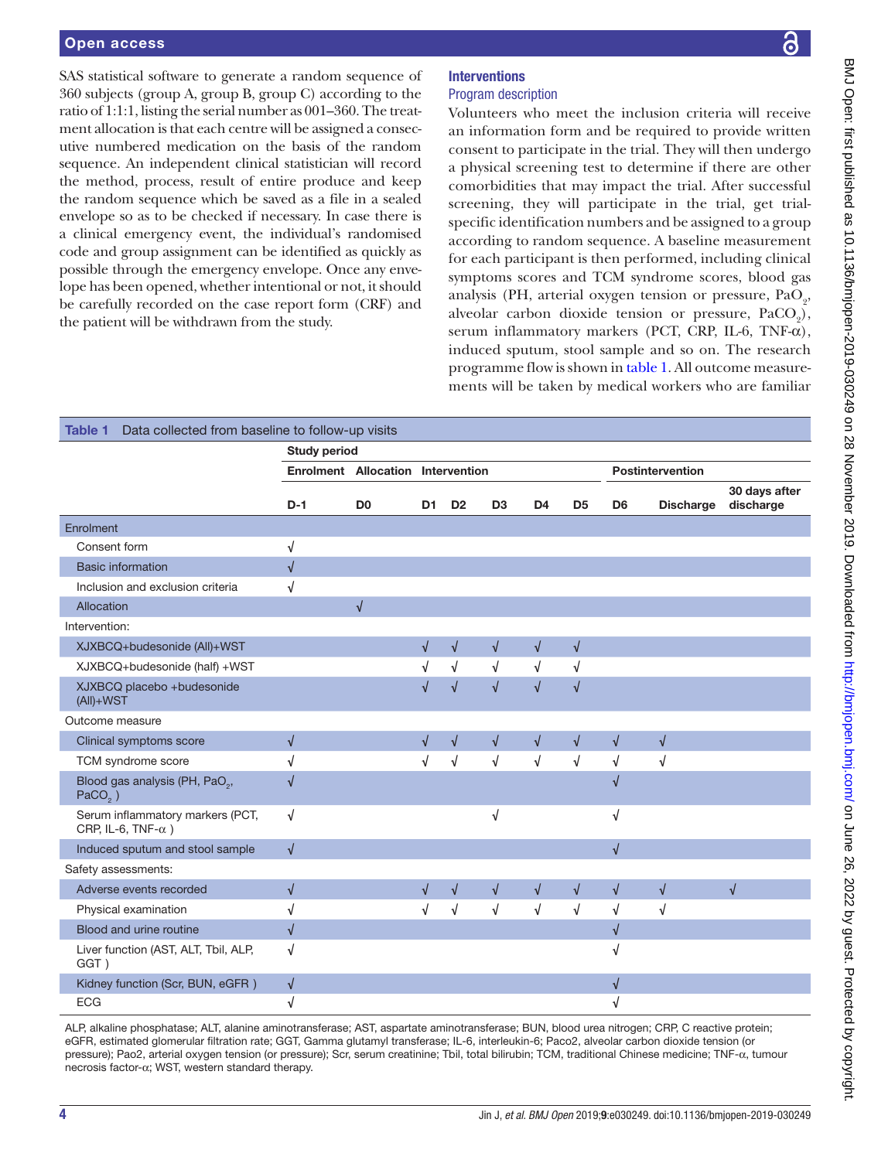SAS statistical software to generate a random sequence of 360 subjects (group A, group B, group C) according to the ratio of 1:1:1, listing the serial number as 001–360. The treatment allocation is that each centre will be assigned a consecutive numbered medication on the basis of the random sequence. An independent clinical statistician will record the method, process, result of entire produce and keep the random sequence which be saved as a file in a sealed envelope so as to be checked if necessary. In case there is a clinical emergency event, the individual's randomised code and group assignment can be identified as quickly as possible through the emergency envelope. Once any envelope has been opened, whether intentional or not, it should be carefully recorded on the case report form (CRF) and the patient will be withdrawn from the study.

## ႕

| <b>Interventions</b>  |  |
|-----------------------|--|
| The company of a com- |  |

#### Program description

Volunteers who meet the inclusion criteria will receive an information form and be required to provide written consent to participate in the trial. They will then undergo a physical screening test to determine if there are other comorbidities that may impact the trial. After successful screening, they will participate in the trial, get trialspecific identification numbers and be assigned to a group according to random sequence. A baseline measurement for each participant is then performed, including clinical symptoms scores and TCM syndrome scores, blood gas analysis (PH, arterial oxygen tension or pressure,  $PaO<sub>2</sub>$ , alveolar carbon dioxide tension or pressure,  $PaCO<sub>2</sub>$ ), serum inflammatory markers (PCT, CRP, IL-6, TNF-α), induced sputum, stool sample and so on. The research programme flow is shown in [table](#page-3-0) 1. All outcome measurements will be taken by medical workers who are familiar

<span id="page-3-0"></span>

| Data collected from baseline to follow-up visits<br><b>Table 1</b> |                                          |                |            |                |                  |                |                |                |                  |                            |
|--------------------------------------------------------------------|------------------------------------------|----------------|------------|----------------|------------------|----------------|----------------|----------------|------------------|----------------------------|
|                                                                    | <b>Study period</b>                      |                |            |                |                  |                |                |                |                  |                            |
|                                                                    | <b>Enrolment Allocation Intervention</b> |                |            |                | Postintervention |                |                |                |                  |                            |
|                                                                    | $D-1$                                    | D <sub>0</sub> | D1         | D <sub>2</sub> | D <sub>3</sub>   | D <sub>4</sub> | D <sub>5</sub> | D <sub>6</sub> | <b>Discharge</b> | 30 days after<br>discharge |
| Enrolment                                                          |                                          |                |            |                |                  |                |                |                |                  |                            |
| Consent form                                                       | $\sqrt{ }$                               |                |            |                |                  |                |                |                |                  |                            |
| <b>Basic information</b>                                           | $\sqrt{2}$                               |                |            |                |                  |                |                |                |                  |                            |
| Inclusion and exclusion criteria                                   | √                                        |                |            |                |                  |                |                |                |                  |                            |
| Allocation                                                         |                                          | $\sqrt{ }$     |            |                |                  |                |                |                |                  |                            |
| Intervention:                                                      |                                          |                |            |                |                  |                |                |                |                  |                            |
| XJXBCQ+budesonide (All)+WST                                        |                                          |                | $\sqrt{ }$ | $\sqrt{ }$     | $\sqrt{ }$       | $\sqrt{ }$     | $\sqrt{ }$     |                |                  |                            |
| XJXBCQ+budesonide (half) +WST                                      |                                          |                | $\sqrt{ }$ | $\sqrt{ }$     | $\sqrt{ }$       | $\sqrt{ }$     | $\sqrt{ }$     |                |                  |                            |
| XJXBCQ placebo +budesonide<br>$(AII)+WST$                          |                                          |                | $\sqrt{2}$ | $\sqrt{ }$     | $\sqrt{ }$       | $\sqrt{ }$     | $\sqrt{2}$     |                |                  |                            |
| Outcome measure                                                    |                                          |                |            |                |                  |                |                |                |                  |                            |
| Clinical symptoms score                                            | $\sqrt{ }$                               |                | $\sqrt{}$  | $\sqrt{ }$     | $\sqrt{ }$       | $\sqrt{ }$     | $\sqrt{ }$     | $\sqrt{ }$     | $\sqrt{}$        |                            |
| TCM syndrome score                                                 | √                                        |                | $\sqrt{ }$ | $\sqrt{ }$     | $\sqrt{ }$       | $\sqrt{ }$     | $\sqrt{ }$     | $\sqrt{ }$     | $\sqrt{ }$       |                            |
| Blood gas analysis (PH, PaO <sub>2</sub> ,<br>$PACO2$ )            | $\sqrt{2}$                               |                |            |                |                  |                |                | $\sqrt{2}$     |                  |                            |
| Serum inflammatory markers (PCT,<br>CRP, IL-6, TNF- $\alpha$ )     | $\sqrt{ }$                               |                |            |                | $\sqrt{ }$       |                |                | $\sqrt{ }$     |                  |                            |
| Induced sputum and stool sample                                    | $\sqrt{ }$                               |                |            |                |                  |                |                | $\sqrt{2}$     |                  |                            |
| Safety assessments:                                                |                                          |                |            |                |                  |                |                |                |                  |                            |
| Adverse events recorded                                            | $\sqrt{ }$                               |                | $\sqrt{}$  | $\sqrt{}$      | $\sqrt{ }$       | $\sqrt{}$      | $\sqrt{}$      | $\sqrt{ }$     | $\sqrt{2}$       | $\sqrt{ }$                 |
| Physical examination                                               | √                                        |                | √          | $\sqrt{ }$     | $\sqrt{ }$       | $\sqrt{2}$     | $\sqrt{ }$     | $\sqrt{ }$     | $\sqrt{ }$       |                            |
| Blood and urine routine                                            | $\sqrt{ }$                               |                |            |                |                  |                |                | $\sqrt{ }$     |                  |                            |
| Liver function (AST, ALT, Tbil, ALP,<br>GGT)                       | $\sqrt{ }$                               |                |            |                |                  |                |                | $\sqrt{ }$     |                  |                            |
| Kidney function (Scr, BUN, eGFR)                                   | $\sqrt{}$                                |                |            |                |                  |                |                | $\sqrt{ }$     |                  |                            |
| <b>ECG</b>                                                         | √                                        |                |            |                |                  |                |                | $\sqrt{}$      |                  |                            |

ALP, alkaline phosphatase; ALT, alanine aminotransferase; AST, aspartate aminotransferase; BUN, blood urea nitrogen; CRP, C reactive protein; eGFR, estimated glomerular filtration rate; GGT, Gamma glutamyl transferase; IL-6, interleukin-6; Paco2, alveolar carbon dioxide tension (or pressure); Pao2, arterial oxygen tension (or pressure); Scr, serum creatinine; Tbil, total bilirubin; TCM, traditional Chinese medicine; TNF-α, tumour necrosis factor-α; WST, western standard therapy.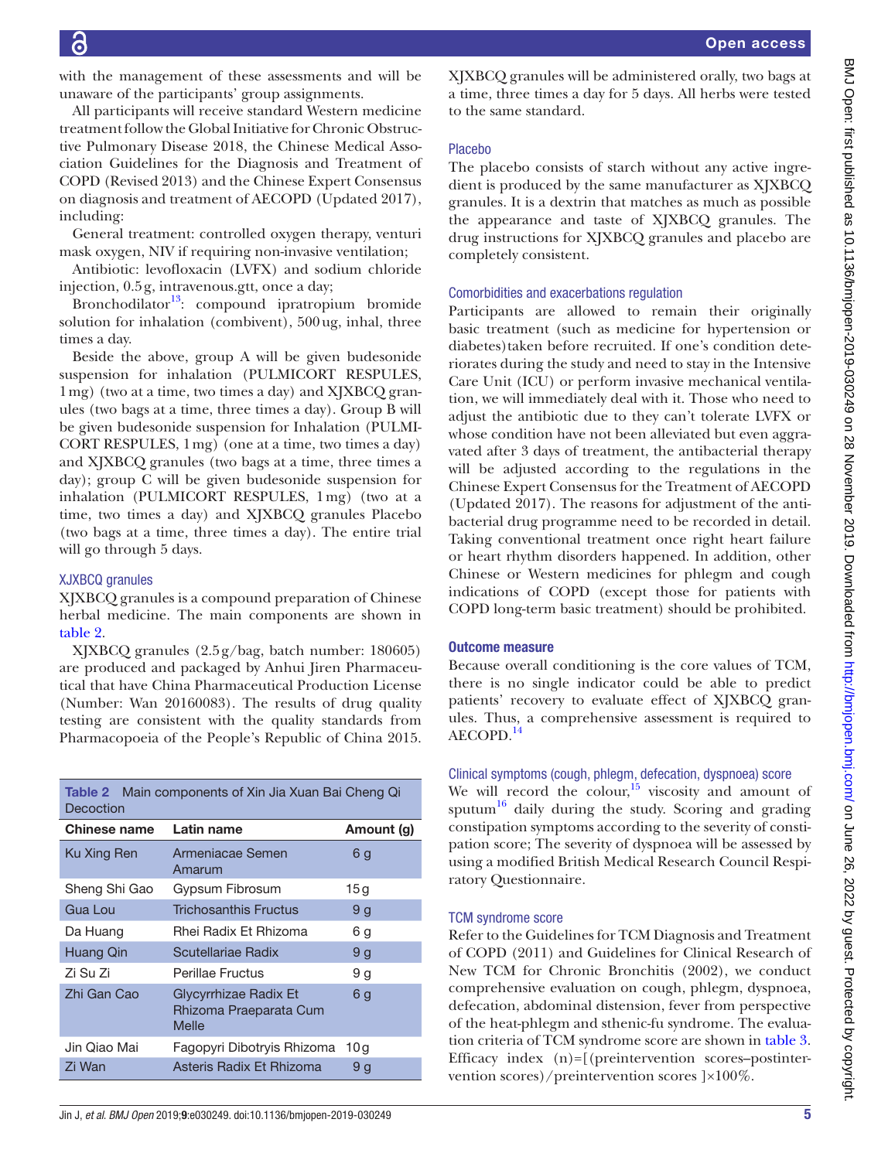6

with the management of these assessments and will be unaware of the participants' group assignments.

All participants will receive standard Western medicine treatment follow the Global Initiative for Chronic Obstructive Pulmonary Disease 2018, the Chinese Medical Association Guidelines for the Diagnosis and Treatment of COPD (Revised 2013) and the Chinese Expert Consensus on diagnosis and treatment of AECOPD (Updated 2017), including:

General treatment: controlled oxygen therapy, venturi mask oxygen, NIV if requiring non-invasive ventilation;

Antibiotic: levofloxacin (LVFX) and sodium chloride injection, 0.5g, intravenous.gtt, once a day;

Bronchodilator<sup>13</sup>: compound ipratropium bromide solution for inhalation (combivent), 500ug, inhal, three times a day.

Beside the above, group A will be given budesonide suspension for inhalation (PULMICORT RESPULES, 1mg) (two at a time, two times a day) and XJXBCQ granules (two bags at a time, three times a day). Group B will be given budesonide suspension for Inhalation (PULMI-CORT RESPULES, 1mg) (one at a time, two times a day) and XJXBCQ granules (two bags at a time, three times a day); group C will be given budesonide suspension for inhalation (PULMICORT RESPULES, 1mg) (two at a time, two times a day) and XJXBCQ granules Placebo (two bags at a time, three times a day). The entire trial will go through 5 days.

#### XJXBCQ granules

XJXBCQ granules is a compound preparation of Chinese herbal medicine. The main components are shown in [table](#page-4-0) 2.

XJXBCQ granules (2.5g/bag, batch number: 180605) are produced and packaged by Anhui Jiren Pharmaceutical that have China Pharmaceutical Production License (Number: Wan 20160083). The results of drug quality testing are consistent with the quality standards from Pharmacopoeia of the People's Republic of China 2015.

<span id="page-4-0"></span>

| <b>Table 2</b> Main components of Xin Jia Xuan Bai Cheng Qi<br>Decoction |                                                          |            |  |  |  |
|--------------------------------------------------------------------------|----------------------------------------------------------|------------|--|--|--|
| Chinese name                                                             | Latin name                                               | Amount (g) |  |  |  |
| Ku Xing Ren                                                              | Armeniacae Semen<br>Amarum                               | 6 g        |  |  |  |
| Sheng Shi Gao                                                            | Gypsum Fibrosum                                          | 15g        |  |  |  |
| Gua Lou                                                                  | <b>Trichosanthis Fructus</b>                             | 9 g        |  |  |  |
| Da Huang                                                                 | Rhei Radix Ft Rhizoma                                    | 6 g        |  |  |  |
| Huang Qin                                                                | Scutellariae Radix                                       | 9 g        |  |  |  |
| Zi Su Zi                                                                 | Perillae Fructus                                         | 9 g        |  |  |  |
| Zhi Gan Cao                                                              | Glycyrrhizae Radix Et<br>Rhizoma Praeparata Cum<br>Melle | 6 g        |  |  |  |
| Jin Qiao Mai                                                             | Fagopyri Dibotryis Rhizoma                               | 10g        |  |  |  |
| Zi Wan                                                                   | Asteris Radix Et Rhizoma                                 | 9 g        |  |  |  |

XJXBCQ granules will be administered orally, two bags at a time, three times a day for 5 days. All herbs were tested to the same standard.

#### Placebo

The placebo consists of starch without any active ingredient is produced by the same manufacturer as XJXBCQ granules. It is a dextrin that matches as much as possible the appearance and taste of XJXBCQ granules. The drug instructions for XJXBCQ granules and placebo are completely consistent.

#### Comorbidities and exacerbations regulation

Participants are allowed to remain their originally basic treatment (such as medicine for hypertension or diabetes)taken before recruited. If one's condition deteriorates during the study and need to stay in the Intensive Care Unit (ICU) or perform invasive mechanical ventilation, we will immediately deal with it. Those who need to adjust the antibiotic due to they can't tolerate LVFX or whose condition have not been alleviated but even aggravated after 3 days of treatment, the antibacterial therapy will be adjusted according to the regulations in the Chinese Expert Consensus for the Treatment of AECOPD (Updated 2017). The reasons for adjustment of the antibacterial drug programme need to be recorded in detail. Taking conventional treatment once right heart failure or heart rhythm disorders happened. In addition, other Chinese or Western medicines for phlegm and cough indications of COPD (except those for patients with COPD long-term basic treatment) should be prohibited.

#### Outcome measure

Because overall conditioning is the core values of TCM, there is no single indicator could be able to predict patients' recovery to evaluate effect of XJXBCQ granules. Thus, a comprehensive assessment is required to AECOPD.<sup>14</sup>

#### Clinical symptoms (cough, phlegm, defecation, dyspnoea) score

We will record the colour,  $15$  viscosity and amount of sputum $^{16}$  daily during the study. Scoring and grading constipation symptoms according to the severity of constipation score; The severity of dyspnoea will be assessed by using a modified British Medical Research Council Respiratory Questionnaire.

#### TCM syndrome score

Refer to the Guidelines for TCM Diagnosis and Treatment of COPD (2011) and Guidelines for Clinical Research of New TCM for Chronic Bronchitis (2002), we conduct comprehensive evaluation on cough, phlegm, dyspnoea, defecation, abdominal distension, fever from perspective of the heat-phlegm and sthenic-fu syndrome. The evaluation criteria of TCM syndrome score are shown in [table](#page-5-0) 3. Efficacy index  $(n)$ =[(preintervention scores–postintervention scores)/preintervention scores ]×100%.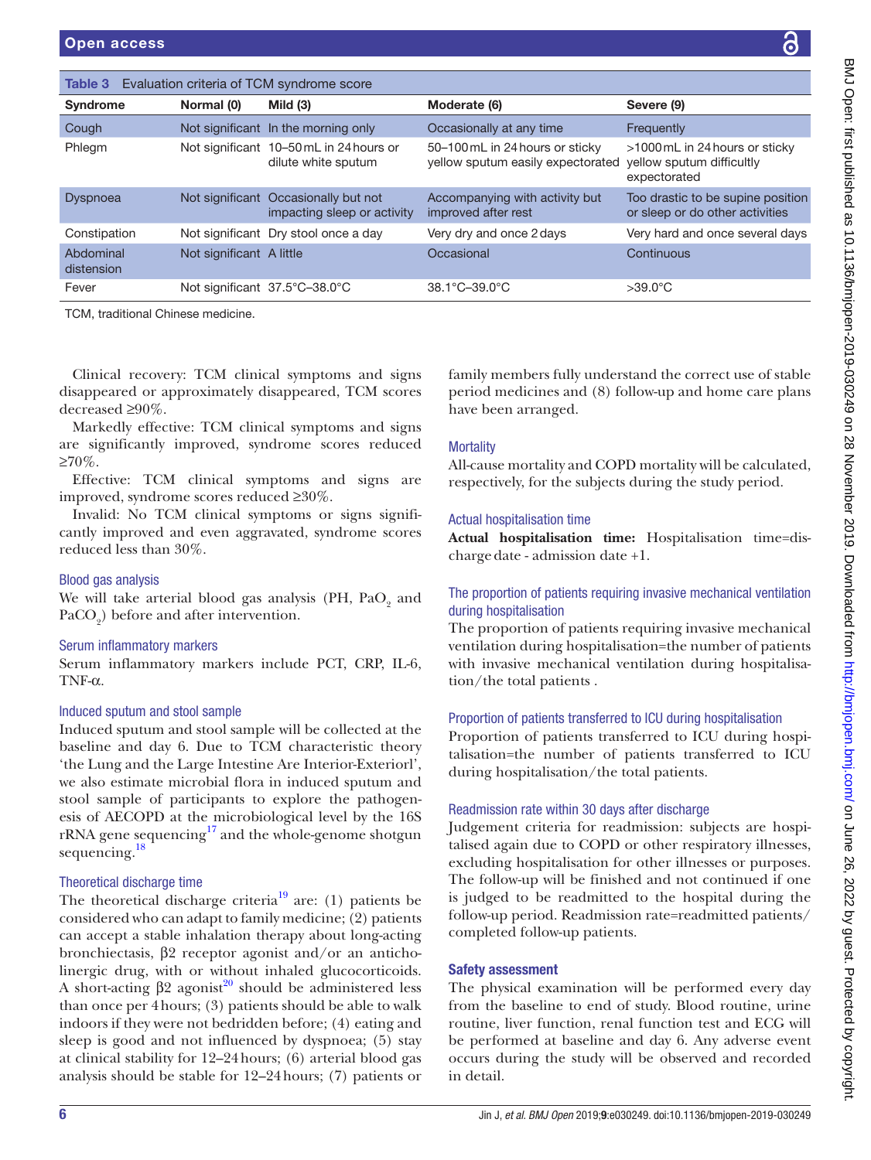<span id="page-5-0"></span>

| <b>Open access</b>                                |            |                                     |                          |            |  |  |
|---------------------------------------------------|------------|-------------------------------------|--------------------------|------------|--|--|
|                                                   |            |                                     |                          |            |  |  |
| Table 3 Evaluation criteria of TCM syndrome score |            |                                     |                          |            |  |  |
| <b>Syndrome</b>                                   | Normal (0) | Mild (3)                            | Moderate (6)             | Severe (9) |  |  |
| Cough                                             |            | Not significant In the morning only | Occasionally at any time | Frequently |  |  |
|                                                   |            |                                     |                          |            |  |  |

| vvuyn                   |                          | <b>TVOC SIGHTHOGHTE THE CHO HIDHIING OHIY</b>                       | Occasionally at any thric                                            | 1100001101                                                                  |
|-------------------------|--------------------------|---------------------------------------------------------------------|----------------------------------------------------------------------|-----------------------------------------------------------------------------|
| Phlegm                  |                          | Not significant 10-50 mL in 24 hours or<br>dilute white sputum      | 50-100 mL in 24 hours or sticky<br>yellow sputum easily expectorated | >1000 mL in 24 hours or sticky<br>yellow sputum difficultly<br>expectorated |
| <b>Dyspnoea</b>         |                          | Not significant Occasionally but not<br>impacting sleep or activity | Accompanying with activity but<br>improved after rest                | Too drastic to be supine position<br>or sleep or do other activities        |
| Constipation            |                          | Not significant Dry stool once a day                                | Very dry and once 2 days                                             | Very hard and once several days                                             |
| Abdominal<br>distension | Not significant A little |                                                                     | Occasional                                                           | Continuous                                                                  |
| Fever                   |                          | Not significant 37.5°C-38.0°C                                       | $38.1^{\circ}$ C-39.0 $^{\circ}$ C                                   | $>39.0^{\circ}$ C                                                           |
|                         |                          |                                                                     |                                                                      |                                                                             |

TCM, traditional Chinese medicine.

Clinical recovery: TCM clinical symptoms and signs disappeared or approximately disappeared, TCM scores decreased ≥90%.

Markedly effective: TCM clinical symptoms and signs are significantly improved, syndrome scores reduced  $≥70\%$ .

Effective: TCM clinical symptoms and signs are improved, syndrome scores reduced ≥30%.

Invalid: No TCM clinical symptoms or signs significantly improved and even aggravated, syndrome scores reduced less than 30%.

#### Blood gas analysis

We will take arterial blood gas analysis (PH,  $\mathrm{PaO}_2$  and  $\text{PaCO}_2$ ) before and after intervention.

#### Serum inflammatory markers

Serum inflammatory markers include PCT, CRP, IL-6, TNF-α.

#### Induced sputum and stool sample

Induced sputum and stool sample will be collected at the baseline and day 6. Due to TCM characteristic theory 'the Lung and the Large Intestine Are Interior-Exteriorl', we also estimate microbial flora in induced sputum and stool sample of participants to explore the pathogenesis of AECOPD at the microbiological level by the 16S  $rRNA$  gene sequencing<sup>17</sup> and the whole-genome shotgun sequencing. $18$ 

#### Theoretical discharge time

The theoretical discharge criteria<sup>19</sup> are: (1) patients be considered who can adapt to family medicine; (2) patients can accept a stable inhalation therapy about long-acting bronchiectasis, β2 receptor agonist and/or an anticholinergic drug, with or without inhaled glucocorticoids. A short-acting  $β2$  agonist<sup>20</sup> should be administered less than once per 4hours; (3) patients should be able to walk indoors if they were not bedridden before; (4) eating and sleep is good and not influenced by dyspnoea; (5) stay at clinical stability for 12–24hours; (6) arterial blood gas analysis should be stable for 12–24hours; (7) patients or

family members fully understand the correct use of stable period medicines and (8) follow-up and home care plans have been arranged.

#### **Mortality**

All-cause mortality and COPD mortality will be calculated, respectively, for the subjects during the study period.

#### Actual hospitalisation time

**Actual hospitalisation time:** Hospitalisation time=dischargedate - admission date +1.

#### The proportion of patients requiring invasive mechanical ventilation during hospitalisation

The proportion of patients requiring invasive mechanical ventilation during hospitalisation=the number of patients with invasive mechanical ventilation during hospitalisation/the total patients .

#### Proportion of patients transferred to ICU during hospitalisation

Proportion of patients transferred to ICU during hospitalisation=the number of patients transferred to ICU during hospitalisation/the total patients.

#### Readmission rate within 30 days after discharge

Judgement criteria for readmission: subjects are hospitalised again due to COPD or other respiratory illnesses, excluding hospitalisation for other illnesses or purposes. The follow-up will be finished and not continued if one is judged to be readmitted to the hospital during the follow-up period. Readmission rate=readmitted patients/ completed follow-up patients.

### Safety assessment

The physical examination will be performed every day from the baseline to end of study. Blood routine, urine routine, liver function, renal function test and ECG will be performed at baseline and day 6. Any adverse event occurs during the study will be observed and recorded in detail.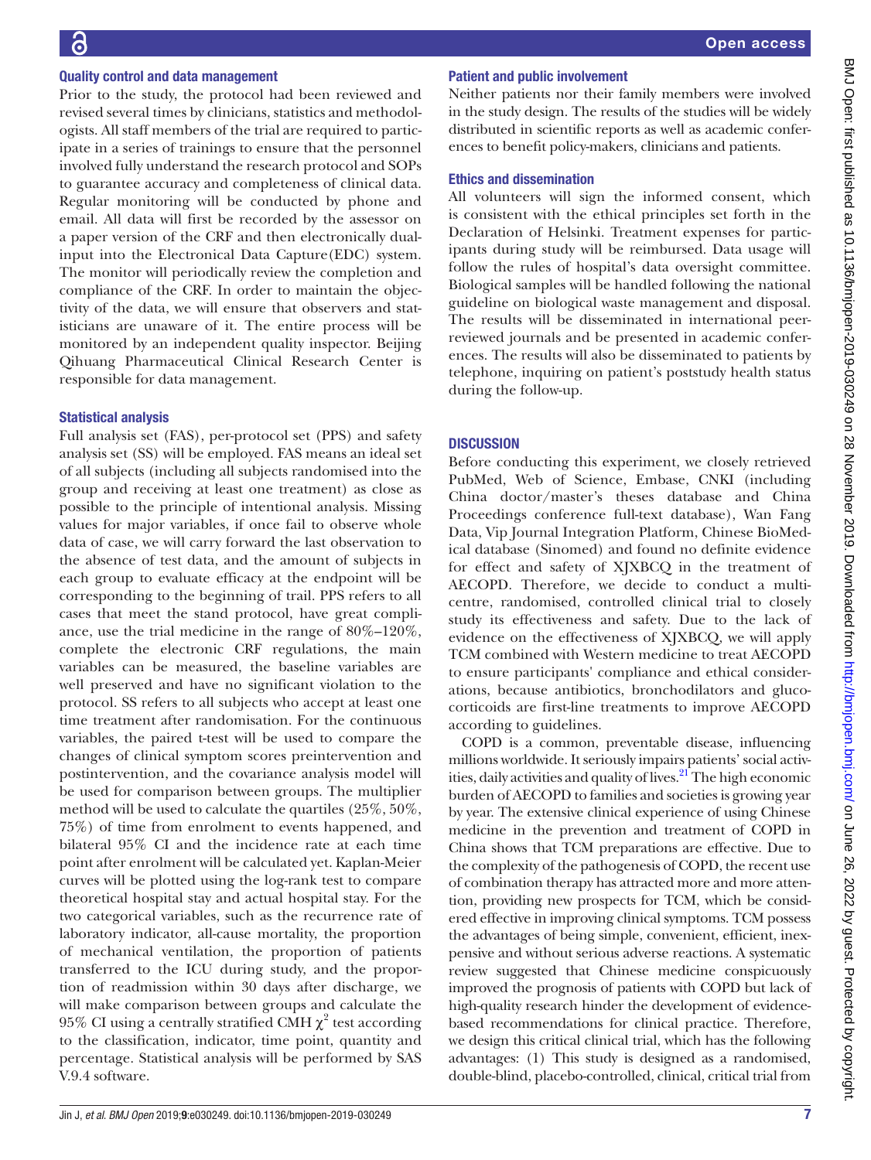#### Quality control and data management

Prior to the study, the protocol had been reviewed and revised several times by clinicians, statistics and methodologists. All staff members of the trial are required to participate in a series of trainings to ensure that the personnel involved fully understand the research protocol and SOPs to guarantee accuracy and completeness of clinical data. Regular monitoring will be conducted by phone and email. All data will first be recorded by the assessor on a paper version of the CRF and then electronically dualinput into the Electronical Data Capture(EDC) system. The monitor will periodically review the completion and compliance of the CRF. In order to maintain the objectivity of the data, we will ensure that observers and statisticians are unaware of it. The entire process will be monitored by an independent quality inspector. Beijing Qihuang Pharmaceutical Clinical Research Center is responsible for data management.

#### Statistical analysis

Full analysis set (FAS), per-protocol set (PPS) and safety analysis set (SS) will be employed. FAS means an ideal set of all subjects (including all subjects randomised into the group and receiving at least one treatment) as close as possible to the principle of intentional analysis. Missing values for major variables, if once fail to observe whole data of case, we will carry forward the last observation to the absence of test data, and the amount of subjects in each group to evaluate efficacy at the endpoint will be corresponding to the beginning of trail. PPS refers to all cases that meet the stand protocol, have great compliance, use the trial medicine in the range of 80%–120%, complete the electronic CRF regulations, the main variables can be measured, the baseline variables are well preserved and have no significant violation to the protocol. SS refers to all subjects who accept at least one time treatment after randomisation. For the continuous variables, the paired t-test will be used to compare the changes of clinical symptom scores preintervention and postintervention, and the covariance analysis model will be used for comparison between groups. The multiplier method will be used to calculate the quartiles (25%, 50%, 75%) of time from enrolment to events happened, and bilateral 95% CI and the incidence rate at each time point after enrolment will be calculated yet. Kaplan-Meier curves will be plotted using the log-rank test to compare theoretical hospital stay and actual hospital stay. For the two categorical variables, such as the recurrence rate of laboratory indicator, all-cause mortality, the proportion of mechanical ventilation, the proportion of patients transferred to the ICU during study, and the proportion of readmission within 30 days after discharge, we will make comparison between groups and calculate the 95% CI using a centrally stratified CMH  $\chi^2$  test according to the classification, indicator, time point, quantity and percentage. Statistical analysis will be performed by SAS V.9.4 software.

Neither patients nor their family members were involved in the study design. The results of the studies will be widely distributed in scientific reports as well as academic conferences to benefit policy-makers, clinicians and patients.

#### Ethics and dissemination

All volunteers will sign the informed consent, which is consistent with the ethical principles set forth in the Declaration of Helsinki. Treatment expenses for participants during study will be reimbursed. Data usage will follow the rules of hospital's data oversight committee. Biological samples will be handled following the national guideline on biological waste management and disposal. The results will be disseminated in international peerreviewed journals and be presented in academic conferences. The results will also be disseminated to patients by telephone, inquiring on patient's poststudy health status during the follow-up.

#### **DISCUSSION**

Before conducting this experiment, we closely retrieved PubMed, Web of Science, Embase, CNKI (including China doctor/master's theses database and China Proceedings conference full-text database), Wan Fang Data, Vip Journal Integration Platform, Chinese BioMedical database (Sinomed) and found no definite evidence for effect and safety of XJXBCQ in the treatment of AECOPD. Therefore, we decide to conduct a multicentre, randomised, controlled clinical trial to closely study its effectiveness and safety. Due to the lack of evidence on the effectiveness of XJXBCQ, we will apply TCM combined with Western medicine to treat AECOPD to ensure participants' compliance and ethical considerations, because antibiotics, bronchodilators and glucocorticoids are first-line treatments to improve AECOPD according to guidelines.

COPD is a common, preventable disease, influencing millions worldwide. It seriously impairs patients' social activ-ities, daily activities and quality of lives.<sup>[21](#page-8-6)</sup> The high economic burden of AECOPD to families and societies is growing year by year. The extensive clinical experience of using Chinese medicine in the prevention and treatment of COPD in China shows that TCM preparations are effective. Due to the complexity of the pathogenesis of COPD, the recent use of combination therapy has attracted more and more attention, providing new prospects for TCM, which be considered effective in improving clinical symptoms. TCM possess the advantages of being simple, convenient, efficient, inexpensive and without serious adverse reactions. A systematic review suggested that Chinese medicine conspicuously improved the prognosis of patients with COPD but lack of high-quality research hinder the development of evidencebased recommendations for clinical practice. Therefore, we design this critical clinical trial, which has the following advantages: (1) This study is designed as a randomised, double-blind, placebo-controlled, clinical, critical trial from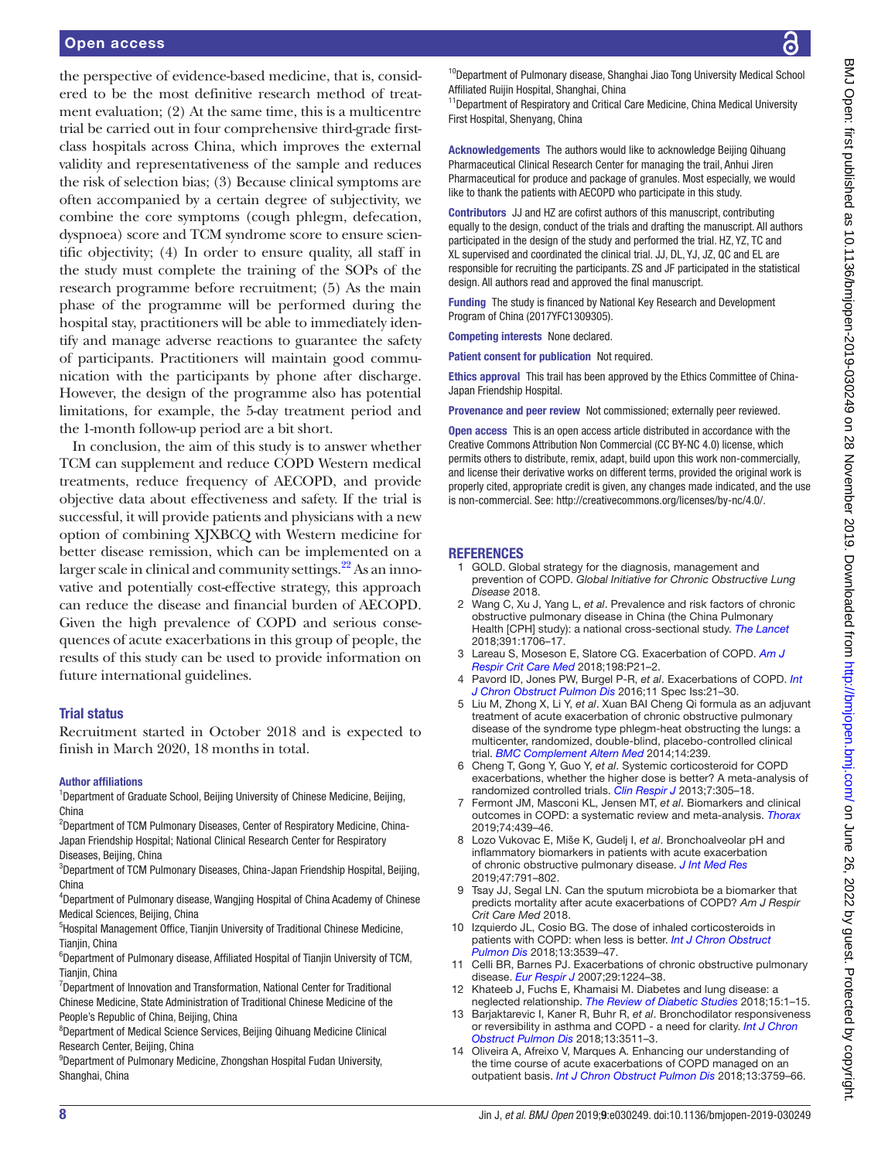the perspective of evidence-based medicine, that is, considered to be the most definitive research method of treatment evaluation; (2) At the same time, this is a multicentre trial be carried out in four comprehensive third-grade firstclass hospitals across China, which improves the external validity and representativeness of the sample and reduces the risk of selection bias; (3) Because clinical symptoms are often accompanied by a certain degree of subjectivity, we combine the core symptoms (cough phlegm, defecation, dyspnoea) score and TCM syndrome score to ensure scientific objectivity; (4) In order to ensure quality, all staff in the study must complete the training of the SOPs of the research programme before recruitment; (5) As the main phase of the programme will be performed during the hospital stay, practitioners will be able to immediately identify and manage adverse reactions to guarantee the safety of participants. Practitioners will maintain good communication with the participants by phone after discharge. However, the design of the programme also has potential limitations, for example, the 5-day treatment period and the 1-month follow-up period are a bit short.

In conclusion, the aim of this study is to answer whether TCM can supplement and reduce COPD Western medical treatments, reduce frequency of AECOPD, and provide objective data about effectiveness and safety. If the trial is successful, it will provide patients and physicians with a new option of combining XJXBCQ with Western medicine for better disease remission, which can be implemented on a larger scale in clinical and community settings. $^{22}$  As an innovative and potentially cost-effective strategy, this approach can reduce the disease and financial burden of AECOPD. Given the high prevalence of COPD and serious consequences of acute exacerbations in this group of people, the results of this study can be used to provide information on future international guidelines.

#### Trial status

Recruitment started in October 2018 and is expected to finish in March 2020, 18 months in total.

#### Author affiliations

<sup>1</sup>Department of Graduate School, Beijing University of Chinese Medicine, Beijing, China

<sup>2</sup>Department of TCM Pulmonary Diseases, Center of Respiratory Medicine, China-Japan Friendship Hospital; National Clinical Research Center for Respiratory Diseases, Beijing, China

<sup>3</sup>Department of TCM Pulmonary Diseases, China-Japan Friendship Hospital, Beijing, China

4 Department of Pulmonary disease, Wangjing Hospital of China Academy of Chinese Medical Sciences, Beijing, China

<sup>5</sup>Hospital Management Office, Tianjin University of Traditional Chinese Medicine, Tianjin, China

<sup>6</sup>Department of Pulmonary disease, Affiliated Hospital of Tianjin University of TCM, Tianjin, China

<sup>7</sup>Department of Innovation and Transformation, National Center for Traditional Chinese Medicine, State Administration of Traditional Chinese Medicine of the People's Republic of China, Beijing, China

<sup>8</sup>Department of Medical Science Services, Beijing Qihuang Medicine Clinical Research Center, Beijing, China

9 Department of Pulmonary Medicine, Zhongshan Hospital Fudan University, Shanghai, China

<sup>10</sup>Department of Pulmonary disease, Shanghai Jiao Tong University Medical School Affiliated Ruijin Hospital, Shanghai, China

<sup>11</sup>Department of Respiratory and Critical Care Medicine, China Medical University First Hospital, Shenyang, China

Acknowledgements The authors would like to acknowledge Beijing Qihuang Pharmaceutical Clinical Research Center for managing the trail, Anhui Jiren Pharmaceutical for produce and package of granules. Most especially, we would like to thank the patients with AECOPD who participate in this study.

Contributors JJ and HZ are cofirst authors of this manuscript, contributing equally to the design, conduct of the trials and drafting the manuscript. All authors participated in the design of the study and performed the trial. HZ, YZ, TC and XL supervised and coordinated the clinical trial. JJ, DL, YJ, JZ, QC and EL are responsible for recruiting the participants. ZS and JF participated in the statistical design. All authors read and approved the final manuscript.

Funding The study is financed by National Key Research and Development Program of China (2017YFC1309305).

Competing interests None declared.

Patient consent for publication Not required.

Ethics approval This trail has been approved by the Ethics Committee of China-Japan Friendship Hospital.

Provenance and peer review Not commissioned; externally peer reviewed.

Open access This is an open access article distributed in accordance with the Creative Commons Attribution Non Commercial (CC BY-NC 4.0) license, which permits others to distribute, remix, adapt, build upon this work non-commercially, and license their derivative works on different terms, provided the original work is properly cited, appropriate credit is given, any changes made indicated, and the use is non-commercial. See: [http://creativecommons.org/licenses/by-nc/4.0/.](http://creativecommons.org/licenses/by-nc/4.0/)

#### **REFERENCES**

- <span id="page-7-0"></span>GOLD. Global strategy for the diagnosis, management and prevention of COPD. *Global Initiative for Chronic Obstructive Lung Disease* 2018.
- <span id="page-7-1"></span>2 Wang C, Xu J, Yang L, *et al*. Prevalence and risk factors of chronic obstructive pulmonary disease in China (the China Pulmonary Health [CPH] study): a national cross-sectional study. *[The Lancet](http://dx.doi.org/10.1016/S0140-6736(18)30841-9)* 2018;391:1706–17.
- <span id="page-7-2"></span>3 Lareau S, Moseson E, Slatore CG. Exacerbation of COPD. *[Am J](http://dx.doi.org/10.1164/rccm.19811P21)  [Respir Crit Care Med](http://dx.doi.org/10.1164/rccm.19811P21)* 2018;198:P21–2.
- <span id="page-7-3"></span>4 Pavord ID, Jones PW, Burgel P-R, *et al*. Exacerbations of COPD. *[Int](http://dx.doi.org/10.2147/COPD.S85978)  [J Chron Obstruct Pulmon Dis](http://dx.doi.org/10.2147/COPD.S85978)* 2016;11 Spec Iss:21–30.
- <span id="page-7-4"></span>5 Liu M, Zhong X, Li Y, *et al*. Xuan BAI Cheng Qi formula as an adjuvant treatment of acute exacerbation of chronic obstructive pulmonary disease of the syndrome type phlegm-heat obstructing the lungs: a multicenter, randomized, double-blind, placebo-controlled clinical trial. *[BMC Complement Altern Med](http://dx.doi.org/10.1186/1472-6882-14-239)* 2014;14:239.
- <span id="page-7-5"></span>6 Cheng T, Gong Y, Guo Y, *et al*. Systemic corticosteroid for COPD exacerbations, whether the higher dose is better? A meta-analysis of randomized controlled trials. *[Clin Respir J](http://dx.doi.org/10.1111/crj.12008)* 2013;7:305–18.
- <span id="page-7-6"></span>7 Fermont JM, Masconi KL, Jensen MT, *et al*. Biomarkers and clinical outcomes in COPD: a systematic review and meta-analysis. *[Thorax](http://dx.doi.org/10.1136/thoraxjnl-2018-211855)* 2019;74:439–46.
- <span id="page-7-7"></span>8 Lozo Vukovac E, Miše K, Gudelj I, *et al*. Bronchoalveolar pH and inflammatory biomarkers in patients with acute exacerbation of chronic obstructive pulmonary disease. *[J Int Med Res](http://dx.doi.org/10.1177/0300060518811560)* 2019;47:791–802.
- <span id="page-7-8"></span>9 Tsay JJ, Segal LN. Can the sputum microbiota be a biomarker that predicts mortality after acute exacerbations of COPD? *Am J Respir Crit Care Med* 2018.
- <span id="page-7-9"></span>10 Izquierdo JL, Cosio BG. The dose of inhaled corticosteroids in patients with COPD: when less is better. *[Int J Chron Obstruct](http://dx.doi.org/10.2147/COPD.S175047)  [Pulmon Dis](http://dx.doi.org/10.2147/COPD.S175047)* 2018;13:3539–47.
- 11 Celli BR, Barnes PJ. Exacerbations of chronic obstructive pulmonary disease. *[Eur Respir J](http://dx.doi.org/10.1183/09031936.00109906)* 2007;29:1224–38.
- <span id="page-7-10"></span>12 Khateeb J, Fuchs E, Khamaisi M. Diabetes and lung disease: a neglected relationship. *[The Review of Diabetic Studies](http://dx.doi.org/10.1900/RDS.2018.15.1)* 2018;15:1–15.
- <span id="page-7-11"></span>13 Barjaktarevic I, Kaner R, Buhr R, *et al*. Bronchodilator responsiveness or reversibility in asthma and COPD - a need for clarity. *[Int J Chron](http://dx.doi.org/10.2147/COPD.S183736)  [Obstruct Pulmon Dis](http://dx.doi.org/10.2147/COPD.S183736)* 2018;13:3511–3.
- <span id="page-7-12"></span>14 Oliveira A, Afreixo V, Marques A. Enhancing our understanding of the time course of acute exacerbations of COPD managed on an outpatient basis. *[Int J Chron Obstruct Pulmon Dis](http://dx.doi.org/10.2147/COPD.S175890)* 2018;13:3759–66.